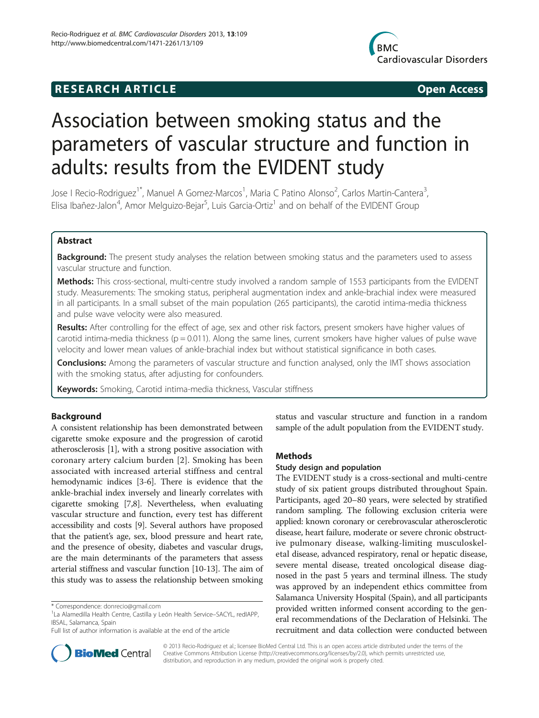## **RESEARCH ARTICLE Example 2014 CONSIDERING CONSIDERING CONSIDERING CONSIDERING CONSIDERING CONSIDERING CONSIDERING CONSIDERING CONSIDERING CONSIDERING CONSIDERING CONSIDERING CONSIDERING CONSIDERING CONSIDERING CONSIDE**



# Association between smoking status and the parameters of vascular structure and function in adults: results from the EVIDENT study

Jose I Recio-Rodriguez<sup>1\*</sup>, Manuel A Gomez-Marcos<sup>1</sup>, Maria C Patino Alonso<sup>2</sup>, Carlos Martin-Cantera<sup>3</sup> , Elisa Ibañez-Jalon<sup>4</sup>, Amor Melguizo-Bejar<sup>5</sup>, Luis Garcia-Ortiz<sup>1</sup> and on behalf of the EVIDENT Group

## Abstract

Background: The present study analyses the relation between smoking status and the parameters used to assess vascular structure and function.

Methods: This cross-sectional, multi-centre study involved a random sample of 1553 participants from the EVIDENT study. Measurements: The smoking status, peripheral augmentation index and ankle-brachial index were measured in all participants. In a small subset of the main population (265 participants), the carotid intima-media thickness and pulse wave velocity were also measured.

Results: After controlling for the effect of age, sex and other risk factors, present smokers have higher values of carotid intima-media thickness ( $p = 0.011$ ). Along the same lines, current smokers have higher values of pulse wave velocity and lower mean values of ankle-brachial index but without statistical significance in both cases.

**Conclusions:** Among the parameters of vascular structure and function analysed, only the IMT shows association with the smoking status, after adjusting for confounders.

Keywords: Smoking, Carotid intima-media thickness, Vascular stiffness

## Background

A consistent relationship has been demonstrated between cigarette smoke exposure and the progression of carotid atherosclerosis [[1\]](#page-6-0), with a strong positive association with coronary artery calcium burden [[2\]](#page-6-0). Smoking has been associated with increased arterial stiffness and central hemodynamic indices [\[3-6](#page-6-0)]. There is evidence that the ankle-brachial index inversely and linearly correlates with cigarette smoking [\[7,8\]](#page-6-0). Nevertheless, when evaluating vascular structure and function, every test has different accessibility and costs [\[9](#page-6-0)]. Several authors have proposed that the patient's age, sex, blood pressure and heart rate, and the presence of obesity, diabetes and vascular drugs, are the main determinants of the parameters that assess arterial stiffness and vascular function [\[10-13\]](#page-6-0). The aim of this study was to assess the relationship between smoking

status and vascular structure and function in a random sample of the adult population from the EVIDENT study.

## Methods

## Study design and population

The EVIDENT study is a cross-sectional and multi-centre study of six patient groups distributed throughout Spain. Participants, aged 20–80 years, were selected by stratified random sampling. The following exclusion criteria were applied: known coronary or cerebrovascular atherosclerotic disease, heart failure, moderate or severe chronic obstructive pulmonary disease, walking-limiting musculoskeletal disease, advanced respiratory, renal or hepatic disease, severe mental disease, treated oncological disease diagnosed in the past 5 years and terminal illness. The study was approved by an independent ethics committee from Salamanca University Hospital (Spain), and all participants provided written informed consent according to the general recommendations of the Declaration of Helsinki. The recruitment and data collection were conducted between



© 2013 Recio-Rodriguez et al.; licensee BioMed Central Ltd. This is an open access article distributed under the terms of the Creative Commons Attribution License (<http://creativecommons.org/licenses/by/2.0>), which permits unrestricted use, distribution, and reproduction in any medium, provided the original work is properly cited.

<sup>\*</sup> Correspondence: [donrecio@gmail.com](mailto:donrecio@gmail.com) <sup>1</sup>

La Alamedilla Health Centre, Castilla y León Health Service–SACYL, redIAPP, IBSAL, Salamanca, Spain

Full list of author information is available at the end of the article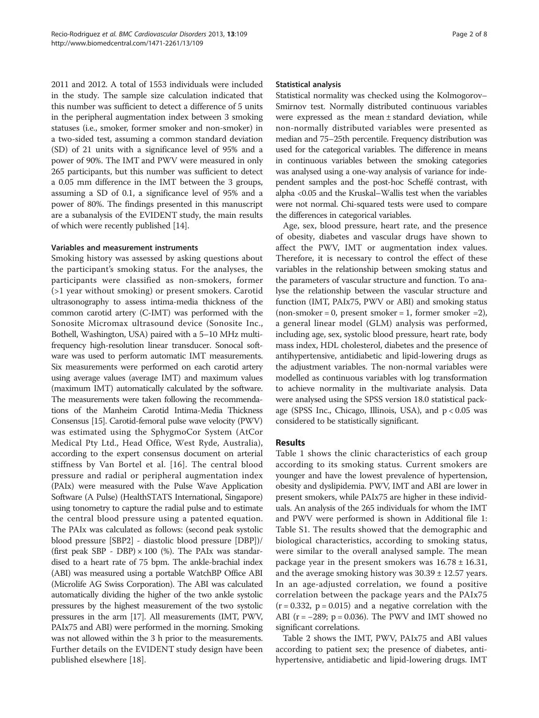2011 and 2012. A total of 1553 individuals were included in the study. The sample size calculation indicated that this number was sufficient to detect a difference of 5 units in the peripheral augmentation index between 3 smoking statuses (i.e., smoker, former smoker and non-smoker) in a two-sided test, assuming a common standard deviation (SD) of 21 units with a significance level of 95% and a power of 90%. The IMT and PWV were measured in only 265 participants, but this number was sufficient to detect a 0.05 mm difference in the IMT between the 3 groups, assuming a SD of 0.1, a significance level of 95% and a power of 80%. The findings presented in this manuscript are a subanalysis of the EVIDENT study, the main results of which were recently published [\[14\]](#page-6-0).

## Variables and measurement instruments

Smoking history was assessed by asking questions about the participant's smoking status. For the analyses, the participants were classified as non-smokers, former (>1 year without smoking) or present smokers. Carotid ultrasonography to assess intima-media thickness of the common carotid artery (C-IMT) was performed with the Sonosite Micromax ultrasound device (Sonosite Inc., Bothell, Washington, USA) paired with a 5–10 MHz multifrequency high-resolution linear transducer. Sonocal software was used to perform automatic IMT measurements. Six measurements were performed on each carotid artery using average values (average IMT) and maximum values (maximum IMT) automatically calculated by the software. The measurements were taken following the recommendations of the Manheim Carotid Intima-Media Thickness Consensus [\[15](#page-6-0)]. Carotid-femoral pulse wave velocity (PWV) was estimated using the SphygmoCor System (AtCor Medical Pty Ltd., Head Office, West Ryde, Australia), according to the expert consensus document on arterial stiffness by Van Bortel et al. [[16](#page-6-0)]. The central blood pressure and radial or peripheral augmentation index (PAIx) were measured with the Pulse Wave Application Software (A Pulse) (HealthSTATS International, Singapore) using tonometry to capture the radial pulse and to estimate the central blood pressure using a patented equation. The PAIx was calculated as follows: (second peak systolic blood pressure [SBP2] - diastolic blood pressure [DBP])/ (first peak SBP - DBP)  $\times$  100 (%). The PAIx was standardised to a heart rate of 75 bpm. The ankle-brachial index (ABI) was measured using a portable WatchBP Office ABI (Microlife AG Swiss Corporation). The ABI was calculated automatically dividing the higher of the two ankle systolic pressures by the highest measurement of the two systolic pressures in the arm [\[17](#page-6-0)]. All measurements (IMT, PWV, PAIx75 and ABI) were performed in the morning. Smoking was not allowed within the 3 h prior to the measurements. Further details on the EVIDENT study design have been published elsewhere [[18](#page-6-0)].

#### Statistical analysis

Statistical normality was checked using the Kolmogorov– Smirnov test. Normally distributed continuous variables were expressed as the mean ± standard deviation, while non-normally distributed variables were presented as median and 75–25th percentile. Frequency distribution was used for the categorical variables. The difference in means in continuous variables between the smoking categories was analysed using a one-way analysis of variance for independent samples and the post-hoc Scheffé contrast, with alpha <0.05 and the Kruskal–Wallis test when the variables were not normal. Chi-squared tests were used to compare the differences in categorical variables.

Age, sex, blood pressure, heart rate, and the presence of obesity, diabetes and vascular drugs have shown to affect the PWV, IMT or augmentation index values. Therefore, it is necessary to control the effect of these variables in the relationship between smoking status and the parameters of vascular structure and function. To analyse the relationship between the vascular structure and function (IMT, PAIx75, PWV or ABI) and smoking status  $($ non-smoker = 0, present smoker = 1, former smoker = 2 $),$ a general linear model (GLM) analysis was performed, including age, sex, systolic blood pressure, heart rate, body mass index, HDL cholesterol, diabetes and the presence of antihypertensive, antidiabetic and lipid-lowering drugs as the adjustment variables. The non-normal variables were modelled as continuous variables with log transformation to achieve normality in the multivariate analysis. Data were analysed using the SPSS version 18.0 statistical package (SPSS Inc., Chicago, Illinois, USA), and  $p < 0.05$  was considered to be statistically significant.

## Results

Table [1](#page-2-0) shows the clinic characteristics of each group according to its smoking status. Current smokers are younger and have the lowest prevalence of hypertension, obesity and dyslipidemia. PWV, IMT and ABI are lower in present smokers, while PAIx75 are higher in these individuals. An analysis of the 265 individuals for whom the IMT and PWV were performed is shown in Additional file [1](#page-5-0): Table S1. The results showed that the demographic and biological characteristics, according to smoking status, were similar to the overall analysed sample. The mean package year in the present smokers was  $16.78 \pm 16.31$ , and the average smoking history was  $30.39 \pm 12.57$  years. In an age-adjusted correlation, we found a positive correlation between the package years and the PAIx75  $(r = 0.332, p = 0.015)$  and a negative correlation with the ABI ( $r = -289$ ;  $p = 0.036$ ). The PWV and IMT showed no significant correlations.

Table [2](#page-3-0) shows the IMT, PWV, PAIx75 and ABI values according to patient sex; the presence of diabetes, antihypertensive, antidiabetic and lipid-lowering drugs. IMT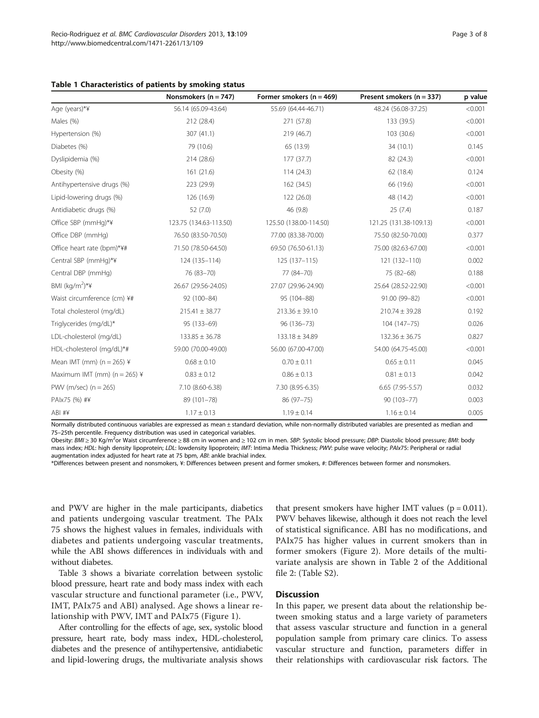<span id="page-2-0"></span>

|  | Table 1 Characteristics of patients by smoking status |  |  |  |  |  |
|--|-------------------------------------------------------|--|--|--|--|--|
|--|-------------------------------------------------------|--|--|--|--|--|

|                                  | Nonsmokers ( $n = 747$ ) | Former smokers ( $n = 469$ ) | Present smokers ( $n = 337$ ) | p value |
|----------------------------------|--------------------------|------------------------------|-------------------------------|---------|
| Age (years)*¥                    | 56.14 (65.09-43.64)      | 55.69 (64.44-46.71)          | 48.24 (56.08-37.25)           | < 0.001 |
| Males (%)                        | 212 (28.4)               | 271 (57.8)                   | 133 (39.5)                    | < 0.001 |
| Hypertension (%)                 | 307 (41.1)               | 219 (46.7)                   | 103 (30.6)                    | < 0.001 |
| Diabetes (%)                     | 79 (10.6)                | 65 (13.9)                    | 34 (10.1)                     | 0.145   |
| Dyslipidemia (%)                 | 214 (28.6)               | 177 (37.7)                   | 82 (24.3)                     | < 0.001 |
| Obesity (%)                      | 161 (21.6)               | 114 (24.3)                   | 62 (18.4)                     | 0.124   |
| Antihypertensive drugs (%)       | 223 (29.9)               | 162 (34.5)                   | 66 (19.6)                     | < 0.001 |
| Lipid-lowering drugs (%)         | 126 (16.9)               | 122 (26.0)                   | 48 (14.2)                     | < 0.001 |
| Antidiabetic drugs (%)           | 52 (7.0)                 | 46 (9.8)                     | 25(7.4)                       | 0.187   |
| Office SBP (mmHg)*¥              | 123.75 (134.63-113.50)   | 125.50 (138.00-114.50)       | 121.25 (131.38-109.13)        | < 0.001 |
| Office DBP (mmHq)                | 76.50 (83.50-70.50)      | 77.00 (83.38-70.00)          | 75.50 (82.50-70.00)           | 0.377   |
| Office heart rate (bpm)*¥#       | 71.50 (78.50-64.50)      | 69.50 (76.50-61.13)          | 75.00 (82.63-67.00)           | < 0.001 |
| Central SBP (mmHg)*¥             | 124 (135-114)            | 125 (137-115)                | 121 (132-110)                 | 0.002   |
| Central DBP (mmHg)               | 76 (83-70)               | 77 (84-70)                   | 75 (82-68)                    | 0.188   |
| BMI $(kq/m^2)$ <sup>*</sup> ¥    | 26.67 (29.56-24.05)      | 27.07 (29.96-24.90)          | 25.64 (28.52-22.90)           | < 0.001 |
| Waist circumference (cm) ¥#      | 92 (100-84)              | 95 (104-88)                  | 91.00 (99-82)                 | < 0.001 |
| Total cholesterol (mg/dL)        | $215.41 \pm 38.77$       | $213.36 \pm 39.10$           | $210.74 \pm 39.28$            | 0.192   |
| Triglycerides (mg/dL)*           | 95 (133-69)              | 96 (136-73)                  | 104 (147-75)                  | 0.026   |
| LDL-cholesterol (mg/dL)          | $133.85 \pm 36.78$       | $133.18 \pm 34.89$           | $132.36 \pm 36.75$            | 0.827   |
| HDL-cholesterol (mg/dL)*#        | 59.00 (70.00-49.00)      | 56.00 (67.00-47.00)          | 54.00 (64.75-45.00)           | < 0.001 |
| Mean IMT (mm) $(n = 265)$ ¥      | $0.68 \pm 0.10$          | $0.70 \pm 0.11$              | $0.65 \pm 0.11$               | 0.045   |
| Maximum IMT (mm) ( $n = 265$ ) ¥ | $0.83 \pm 0.12$          | $0.86 \pm 0.13$              | $0.81 \pm 0.13$               | 0.042   |
| PWV (m/sec) $(n = 265)$          | 7.10 (8.60-6.38)         | 7.30 (8.95-6.35)             | $6.65$ (7.95-5.57)            | 0.032   |
| PAIx75 (%) #¥                    | 89 (101-78)              | 86 (97 - 75)                 | 90 (103-77)                   | 0.003   |
| ABI #¥                           | $1.17 \pm 0.13$          | $1.19 \pm 0.14$              | $1.16 \pm 0.14$               | 0.005   |

Normally distributed continuous variables are expressed as mean ± standard deviation, while non-normally distributed variables are presented as median and 75–25th percentile. Frequency distribution was used in categorical variables.

Obesity: BMI ≥ 30 Kg/m<sup>2</sup>or Waist circumference ≥ 88 cm in women and ≥ 102 cm in men. SBP: Systolic blood pressure; DBP: Diastolic blood pressure; BMI: body mass index; HDL: high density lipoprotein; LDL: lowdensity lipoprotein; IMT: Intima Media Thickness; PWV: pulse wave velocity; PAIx75: Peripheral or radial augmentation index adjusted for heart rate at 75 bpm, ABI: ankle brachial index.

\*Differences between present and nonsmokers, ¥: Differences between present and former smokers, #: Differences between former and nonsmokers.

and PWV are higher in the male participants, diabetics and patients undergoing vascular treatment. The PAIx 75 shows the highest values in females, individuals with diabetes and patients undergoing vascular treatments, while the ABI shows differences in individuals with and without diabetes.

Table [3](#page-3-0) shows a bivariate correlation between systolic blood pressure, heart rate and body mass index with each vascular structure and functional parameter (i.e., PWV, IMT, PAIx75 and ABI) analysed. Age shows a linear relationship with PWV, IMT and PAIx75 (Figure [1\)](#page-4-0).

After controlling for the effects of age, sex, systolic blood pressure, heart rate, body mass index, HDL-cholesterol, diabetes and the presence of antihypertensive, antidiabetic and lipid-lowering drugs, the multivariate analysis shows

that present smokers have higher IMT values ( $p = 0.011$ ). PWV behaves likewise, although it does not reach the level of statistical significance. ABI has no modifications, and PAIx75 has higher values in current smokers than in former smokers (Figure [2](#page-5-0)). More details of the multivariate analysis are shown in Table [2](#page-3-0) of the Additional file [2](#page-5-0): (Table S2).

## **Discussion**

In this paper, we present data about the relationship between smoking status and a large variety of parameters that assess vascular structure and function in a general population sample from primary care clinics. To assess vascular structure and function, parameters differ in their relationships with cardiovascular risk factors. The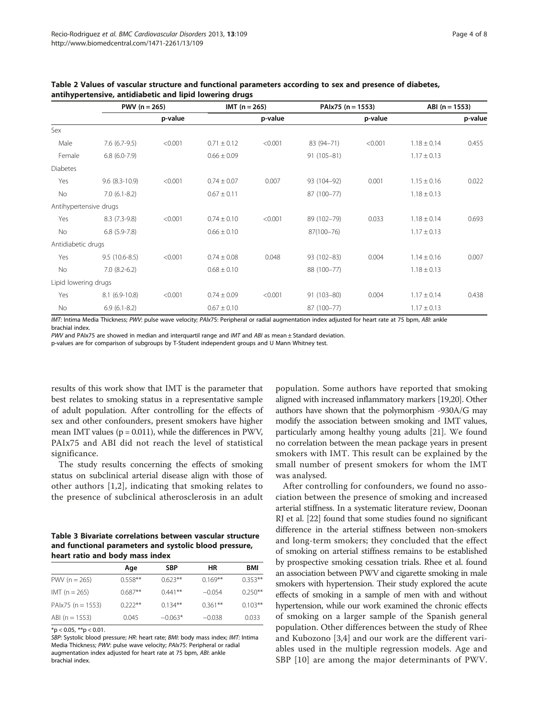|                        |                      | $PWV(n = 265)$ |                 | $IMT(n = 265)$ |                | PAIx75 ( $n = 1553$ ) |                 | $ABI(n = 1553)$ |  |
|------------------------|----------------------|----------------|-----------------|----------------|----------------|-----------------------|-----------------|-----------------|--|
|                        |                      | p-value        |                 | p-value        |                | p-value               |                 | p-value         |  |
| Sex                    |                      |                |                 |                |                |                       |                 |                 |  |
| Male                   | $7.6(6.7-9.5)$       | < 0.001        | $0.71 \pm 0.12$ | < 0.001        | 83 (94-71)     | < 0.001               | $1.18 \pm 0.14$ | 0.455           |  |
| Female                 | $6.8(6.0-7.9)$       |                | $0.66 \pm 0.09$ |                | 91 (105-81)    |                       | $1.17 \pm 0.13$ |                 |  |
| <b>Diabetes</b>        |                      |                |                 |                |                |                       |                 |                 |  |
| Yes                    | $9.6$ $(8.3 - 10.9)$ | < 0.001        | $0.74 \pm 0.07$ | 0.007          | 93 (104-92)    | 0.001                 | $1.15 \pm 0.16$ | 0.022           |  |
| No                     | $7.0(6.1-8.2)$       |                | $0.67 \pm 0.11$ |                | 87 (100-77)    |                       | $1.18 \pm 0.13$ |                 |  |
| Antihypertensive drugs |                      |                |                 |                |                |                       |                 |                 |  |
| Yes                    | $8.3(7.3-9.8)$       | < 0.001        | $0.74 \pm 0.10$ | < 0.001        | 89 (102-79)    | 0.033                 | $1.18 \pm 0.14$ | 0.693           |  |
| No                     | $6.8(5.9-7.8)$       |                | $0.66 \pm 0.10$ |                | $87(100 - 76)$ |                       | $1.17 \pm 0.13$ |                 |  |
| Antidiabetic drugs     |                      |                |                 |                |                |                       |                 |                 |  |
| Yes                    | $9.5(10.6-8.5)$      | < 0.001        | $0.74 \pm 0.08$ | 0.048          | 93 (102-83)    | 0.004                 | $1.14 \pm 0.16$ | 0.007           |  |
| No                     | $7.0(8.2-6.2)$       |                | $0.68 \pm 0.10$ |                | 88 (100-77)    |                       | $1.18 \pm 0.13$ |                 |  |
| Lipid lowering drugs   |                      |                |                 |                |                |                       |                 |                 |  |
| Yes                    | $8.1(6.9-10.8)$      | < 0.001        | $0.74 \pm 0.09$ | < 0.001        | 91 (103-80)    | 0.004                 | $1.17 \pm 0.14$ | 0.438           |  |
| No                     | $6.9(6.1-8.2)$       |                | $0.67 \pm 0.10$ |                | 87 (100-77)    |                       | $1.17 \pm 0.13$ |                 |  |

<span id="page-3-0"></span>Table 2 Values of vascular structure and functional parameters according to sex and presence of diabetes, antihypertensive, antidiabetic and lipid lowering drugs

IMT: Intima Media Thickness; PWV: pulse wave velocity; PAIx75: Peripheral or radial augmentation index adjusted for heart rate at 75 bpm, ABI: ankle brachial index.

PWV and PAIx75 are showed in median and interquartil range and IMT and ABI as mean ± Standard deviation.

p-values are for comparison of subgroups by T-Student independent groups and U Mann Whitney test.

results of this work show that IMT is the parameter that best relates to smoking status in a representative sample of adult population. After controlling for the effects of sex and other confounders, present smokers have higher mean IMT values ( $p = 0.011$ ), while the differences in PWV, PAIx75 and ABI did not reach the level of statistical significance.

The study results concerning the effects of smoking status on subclinical arterial disease align with those of other authors [\[1](#page-6-0),[2\]](#page-6-0), indicating that smoking relates to the presence of subclinical atherosclerosis in an adult

Table 3 Bivariate correlations between vascular structure and functional parameters and systolic blood pressure, heart ratio and body mass index

|                       | Age       | <b>SBP</b> | ΗR        | <b>BMI</b> |
|-----------------------|-----------|------------|-----------|------------|
| PWV ( $n = 265$ )     | $0.558**$ | $0.623**$  | $0.169**$ | $0.353**$  |
| $IMT(n = 265)$        | $0687**$  | $0.441**$  | $-0.054$  | $0.250***$ |
| PAIx75 ( $n = 1553$ ) | $0.222**$ | $0.134**$  | $0.361**$ | $0.103**$  |
| ABI (n = $1553$ )     | 0.045     | $-0.063*$  | $-0.038$  | 0.033      |

 $*$ p < 0.05,  $**$ p < 0.01.

SBP: Systolic blood pressure; HR: heart rate; BMI: body mass index; IMT: Intima Media Thickness; PWV: pulse wave velocity; PAIx75: Peripheral or radial augmentation index adjusted for heart rate at 75 bpm, ABI: ankle brachial index.

population. Some authors have reported that smoking aligned with increased inflammatory markers [[19,20\]](#page-6-0). Other authors have shown that the polymorphism -930A/G may modify the association between smoking and IMT values, particularly among healthy young adults [\[21\]](#page-6-0). We found no correlation between the mean package years in present smokers with IMT. This result can be explained by the small number of present smokers for whom the IMT was analysed.

After controlling for confounders, we found no association between the presence of smoking and increased arterial stiffness. In a systematic literature review, Doonan RJ et al. [\[22\]](#page-6-0) found that some studies found no significant difference in the arterial stiffness between non-smokers and long-term smokers; they concluded that the effect of smoking on arterial stiffness remains to be established by prospective smoking cessation trials. Rhee et al. found an association between PWV and cigarette smoking in male smokers with hypertension. Their study explored the acute effects of smoking in a sample of men with and without hypertension, while our work examined the chronic effects of smoking on a larger sample of the Spanish general population. Other differences between the study of Rhee and Kubozono [[3,4](#page-6-0)] and our work are the different variables used in the multiple regression models. Age and SBP [[10](#page-6-0)] are among the major determinants of PWV.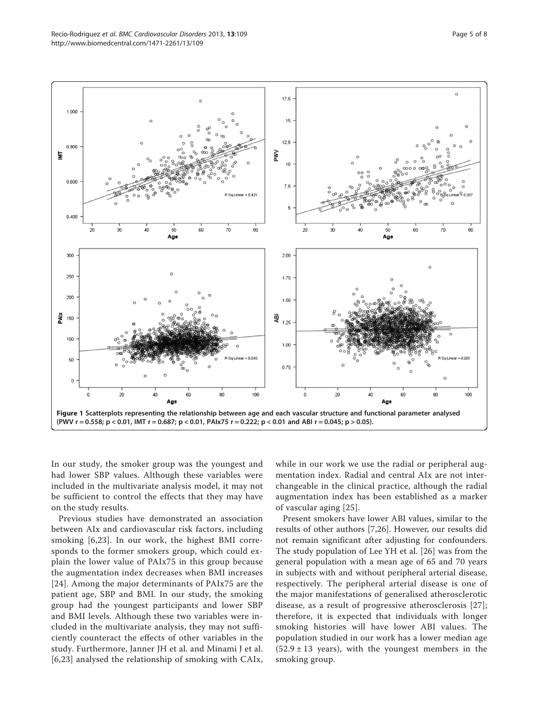<span id="page-4-0"></span>

In our study, the smoker group was the youngest and had lower SBP values. Although these variables were included in the multivariate analysis model, it may not be sufficient to control the effects that they may have on the study results.

Previous studies have demonstrated an association between AIx and cardiovascular risk factors, including smoking [\[6,23](#page-6-0)]. In our work, the highest BMI corresponds to the former smokers group, which could explain the lower value of PAIx75 in this group because the augmentation index decreases when BMI increases [[24](#page-7-0)]. Among the major determinants of PAIx75 are the patient age, SBP and BMI. In our study, the smoking group had the youngest participants and lower SBP and BMI levels. Although these two variables were included in the multivariate analysis, they may not sufficiently counteract the effects of other variables in the study. Furthermore, Janner JH et al. and Minami J et al. [[6,23\]](#page-6-0) analysed the relationship of smoking with CAIx,

while in our work we use the radial or peripheral augmentation index. Radial and central AIx are not interchangeable in the clinical practice, although the radial augmentation index has been established as a marker of vascular aging [[25](#page-7-0)].

Present smokers have lower ABI values, similar to the results of other authors [[7,](#page-6-0)[26\]](#page-7-0). However, our results did not remain significant after adjusting for confounders. The study population of Lee YH et al. [[26\]](#page-7-0) was from the general population with a mean age of 65 and 70 years in subjects with and without peripheral arterial disease, respectively. The peripheral arterial disease is one of the major manifestations of generalised atherosclerotic disease, as a result of progressive atherosclerosis [[27](#page-7-0)]; therefore, it is expected that individuals with longer smoking histories will have lower ABI values. The population studied in our work has a lower median age  $(52.9 \pm 13$  years), with the youngest members in the smoking group.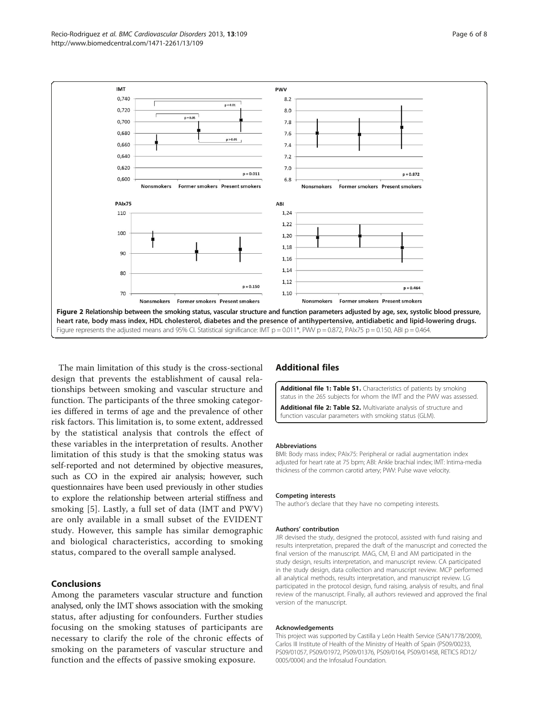<span id="page-5-0"></span>

The main limitation of this study is the cross-sectional design that prevents the establishment of causal relationships between smoking and vascular structure and function. The participants of the three smoking categories differed in terms of age and the prevalence of other risk factors. This limitation is, to some extent, addressed by the statistical analysis that controls the effect of these variables in the interpretation of results. Another limitation of this study is that the smoking status was self-reported and not determined by objective measures, such as CO in the expired air analysis; however, such questionnaires have been used previously in other studies to explore the relationship between arterial stiffness and smoking [[5\]](#page-6-0). Lastly, a full set of data (IMT and PWV) are only available in a small subset of the EVIDENT study. However, this sample has similar demographic and biological characteristics, according to smoking status, compared to the overall sample analysed.

## Conclusions

Among the parameters vascular structure and function analysed, only the IMT shows association with the smoking status, after adjusting for confounders. Further studies focusing on the smoking statuses of participants are necessary to clarify the role of the chronic effects of smoking on the parameters of vascular structure and function and the effects of passive smoking exposure.

## Additional files

[Additional file 1: Table S1.](http://www.biomedcentral.com/content/supplementary/1471-2261-13-109-S1.doc) Characteristics of patients by smoking status in the 265 subjects for whom the IMT and the PWV was assessed. [Additional file 2: Table S2.](http://www.biomedcentral.com/content/supplementary/1471-2261-13-109-S2.doc) Multivariate analysis of structure and function vascular parameters with smoking status (GLM).

#### Abbreviations

BMI: Body mass index; PAIx75: Peripheral or radial augmentation index adjusted for heart rate at 75 bpm; ABI: Ankle brachial index; IMT: Intima-media thickness of the common carotid artery; PWV: Pulse wave velocity.

#### Competing interests

The author's declare that they have no competing interests.

#### Authors' contribution

JIR devised the study, designed the protocol, assisted with fund raising and results interpretation, prepared the draft of the manuscript and corrected the final version of the manuscript. MAG, CM, EI and AM participated in the study design, results interpretation, and manuscript review. CA participated in the study design, data collection and manuscript review. MCP performed all analytical methods, results interpretation, and manuscript review. LG participated in the protocol design, fund raising, analysis of results, and final review of the manuscript. Finally, all authors reviewed and approved the final version of the manuscript.

#### Acknowledgements

This project was supported by Castilla y León Health Service (SAN/1778/2009), Carlos III Institute of Health of the Ministry of Health of Spain (PS09/00233, PS09/01057, PS09/01972, PS09/01376, PS09/0164, PS09/01458, RETICS RD12/ 0005/0004) and the Infosalud Foundation.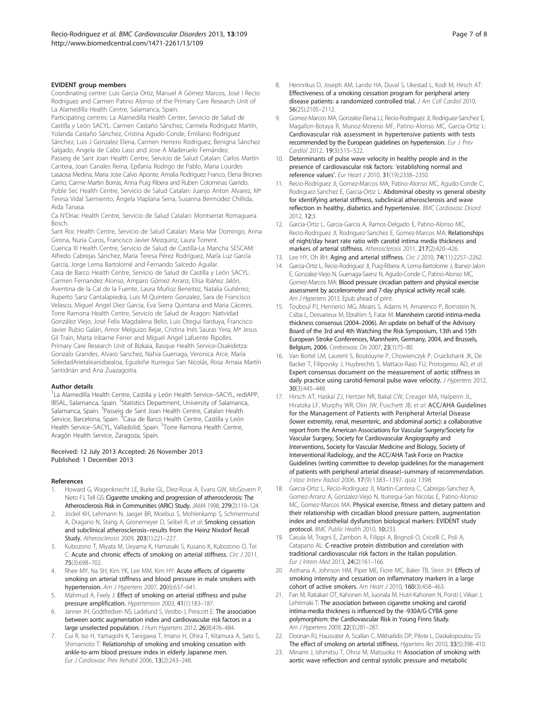#### <span id="page-6-0"></span>EVIDENT group members

Coordinating centre: Luis Garcia Ortiz, Manuel A Gómez Marcos, José I Recio Rodriguez and Carmen Patino Alonso of the Primary Care Research Unit of La Alamedilla Health Centre, Salamanca, Spain.

Participating centres: La Alamedilla Health Center, Servicio de Salud de Castilla y León SACYL: Carmen Castaño Sánchez, Carmela Rodriguez Martín, Yolanda Castaño Sánchez, Cristina Agudo Conde, Emiliano Rodriguez Sánchez, Luis J Gonzalez Elena, Carmen Herrero Rodriguez, Benigna Sánchez Salgado, Angela de Cabo Laso and Jose A Maderuelo Fernández. Passeig de Sant Joan Health Centre, Servicio de Salud Catalan: Carlos Martín Cantera, Joan Canales Reina, Epifania Rodrigo de Pablo, Maria Lourdes Lasaosa Medina, Maria Jose Calvo Aponte, Amalia Rodriguez Franco, Elena Briones Carrio, Carme Martin Borras, Anna Puig Ribera and Ruben Colominas Garrido. Poble Sec Health Centre, Servicio de Salud Catalan: Juanjo Anton Alvarez, Mª Teresa Vidal Sarmiento, Ángela Viaplana Serra, Susanna Bermúdez Chillida, Aida Tanasa.

Ca N'Oriac Health Centre, Servicio de Salud Catalan: Montserrat Romaguera Bosch.

Sant Roc Health Centre, Servicio de Salud Catalan: Maria Mar Domingo, Anna Girona, Nuria Curos, Francisco Javier Mezquiriz, Laura Torrent. Cuenca III Health Centre, Servicio de Salud de Castilla-La Mancha SESCAM: Alfredo Cabrejas Sánchez, María Teresa Pérez Rodríguez, María Luz García García, Jorge Lema Bartolomé and Fernando Salcedo Aguilar. Casa de Barco Health Centre, Servicio de Salud de Castilla y León SACYL: Carmen Fernandez Alonso, Amparo Gómez Arranz, Elisa Ibáñez Jalón, Aventina de la Cal de la Fuente, Laura Muñoz Beneitez, Natalia Gutiérrez, Ruperto Sanz Cantalapiedra, Luis M Quintero Gonzalez, Sara de Francisco Velasco, Miguel Angel Diez Garcia, Eva Sierra Quintana and Maria Cáceres. Torre Ramona Health Centre, Servicio de Salud de Aragon: Natividad González Viejo, José Felix Magdalena Belio, Luis Otegui Ilarduya, Francisco Javier Rubio Galán, Amor Melguizo Bejar, Cristina Inés Sauras Yera, Mª Jesus Gil Train, Marta Iribarne Ferrer and Miguel Angel Lafuente Ripolles. Primary Care Research Unit of Bizkaia, Basque Health Service-Osakidetza: Gonzalo Grandes, Alvaro Sanchez, Nahia Guenaga, Veronica Arce, Maria SoledadArietaleanizbealoa, Eguskiñe Iturregui San Nicolás, Rosa Amaia Martín Santidrián and Ana Zuazagoitia.

#### Author details

<sup>1</sup>La Alamedilla Health Centre, Castilla y León Health Service-SACYL, redIAPP, IBSAL, Salamanca, Spain. <sup>2</sup>Statistics Department, University of Salamanca, Salamanca, Spain. <sup>3</sup>Passeig de Sant Joan Health Centre, Catalan Health Service, Barcelona, Spain. <sup>4</sup>Casa de Barco Health Centre, Castilla y León Health Service–SACYL, Valladolid, Spain. <sup>5</sup>Torre Ramona Health Centre, Aragón Health Service, Zaragoza, Spain.

#### Received: 12 July 2013 Accepted: 26 November 2013 Published: 1 December 2013

#### References

- 1. Howard G, Wagenknecht LE, Burke GL, Diez-Roux A, Evans GW, McGovern P, Nieto FJ, Tell GS: Cigarette smoking and progression of atherosclerosis: The Atherosclerosis Risk in Communities (ARIC) Study. JAMA 1998, 279(2):119–124.
- 2. Jockel KH, Lehmann N, Jaeger BR, Moebus S, Mohlenkamp S, Schmermund A, Dragano N, Stang A, Gronemeyer D, Seibel R, et al: Smoking cessation and subclinical atherosclerosis–results from the Heinz Nixdorf Recall Study. Atherosclerosis 2009, 203(1):221–227.
- 3. Kubozono T, Miyata M, Ueyama K, Hamasaki S, Kusano K, Kubozono O, Tei C: Acute and chronic effects of smoking on arterial stiffness. Circ J 2011, 75(3):698–702.
- Rhee MY, Na SH, Kim YK, Lee MM, Kim HY: Acute effects of cigarette smoking on arterial stiffness and blood pressure in male smokers with hypertension. Am J Hypertens 2007, 20(6):637–641.
- Mahmud A, Feely J: Effect of smoking on arterial stiffness and pulse pressure amplification. Hypertension 2003, 41(1):183–187.
- 6. Janner JH, Godtfredsen NS, Ladelund S, Vestbo J, Prescott E: The association between aortic augmentation index and cardiovascular risk factors in a large unselected population. J Hum Hypertens 2012, 26(8):476–484.
- 7. Cui R, Iso H, Yamagishi K, Tanigawa T, Imano H, Ohira T, Kitamura A, Sato S, Shimamoto T: Relationship of smoking and smoking cessation with ankle-to-arm blood pressure index in elderly Japanese men. Eur J Cardiovasc Prev Rehabil 2006, 13(2):243–248.
- 8. Hennrikus D, Joseph AM, Lando HA, Duval S, Ukestad L, Kodl M, Hirsch AT: Effectiveness of a smoking cessation program for peripheral artery disease patients: a randomized controlled trial. J Am Coll Cardiol 2010, 56(25):2105–2112.
- 9. Gomez-Marcos MA, Gonzalez-Elena LJ, Recio-Rodriguez JJ, Rodriguez-Sanchez E, Magallon-Botaya R, Munoz-Moreno MF, Patino-Alonso MC, Garcia-Ortiz L: Cardiovascular risk assessment in hypertensive patients with tests recommended by the European guidelines on hypertension. Eur J Prev Cardiol 2012, 19(3):515–522.
- 10. Determinants of pulse wave velocity in healthy people and in the presence of cardiovascular risk factors: 'establishing normal and reference values'. Eur Heart J 2010, 31(19):2338–2350.
- 11. Recio-Rodriguez JI, Gomez-Marcos MA, Patino-Alonso MC, Agudo-Conde C, Rodriguez-Sanchez E, Garcia-Ortiz L: Abdominal obesity vs general obesity for identifying arterial stiffness, subclinical atherosclerosis and wave reflection in healthy, diabetics and hypertensive. BMC Cardiovasc Disord 2012, 12:3.
- 12. Garcia-Ortiz L, Garcia-Garcia A, Ramos-Delgado E, Patino-Alonso MC, Recio-Rodriguez JI, Rodriguez-Sanchez E, Gomez-Marcos MA: Relationships of night/day heart rate ratio with carotid intima media thickness and markers of arterial stiffness. Atherosclerosis 2011, 217(2):420–426.
- 13. Lee HY, Oh BH: Aging and arterial stiffness. Circ J 2010, 74(11):2257-2262.
- 14. Garcia-Ortiz L, Recio-Rodriguez JI, Puig-Ribera A, Lema-Bartolome J, Ibanez-Jalon E, Gonzalez-Viejo N, Guenaga-Saenz N, Agudo-Conde C, Patino-Alonso MC, Gomez-Marcos MA: Blood pressure circadian pattern and physical exercise assessment by accelerometer and 7-day physical activity recall scale. Am J Hypertens 2013. Epub ahead of print.
- 15. Touboul PJ, Hennerici MG, Meairs S, Adams H, Amarenco P, Bornstein N, Csiba L, Desvarieux M, Ebrahim S, Fatar M: Mannheim carotid intima-media thickness consensus (2004–2006). An update on behalf of the Advisory Board of the 3rd and 4th Watching the Risk Symposium, 13th and 15th European Stroke Conferences, Mannheim, Germany, 2004, and Brussels, Belgium, 2006. Cerebrovasc Dis 2007, 23(1):75–80.
- 16. Van Bortel LM, Laurent S, Boutouyrie P, Chowienczyk P, Cruickshank JK, De Backer T, Filipovsky J, Huybrechts S, Mattace-Raso FU, Protogerou AD, et al: Expert consensus document on the measurement of aortic stiffness in daily practice using carotid-femoral pulse wave velocity. J Hypertens 2012, 30(3):445–448.
- 17. Hirsch AT, Haskal ZJ, Hertzer NR, Bakal CW, Creager MA, Halperin JL, Hiratzka LF, Murphy WR, Olin JW, Puschett JB, et al: ACC/AHA Guidelines for the Management of Patients with Peripheral Arterial Disease (lower extremity, renal, mesenteric, and abdominal aortic): a collaborative report from the American Associations for Vascular Surgery/Society for Vascular Surgery, Society for Cardiovascular Angiography and Interventions, Society for Vascular Medicine and Biology, Society of Interventional Radiology, and the ACC/AHA Task Force on Practice Guidelines (writing committee to develop guidelines for the management of patients with peripheral arterial disease)–summary of recommendation. J Vasc Interv Radiol 2006, 17(9):1383–1397. quiz 1398.
- 18. Garcia-Ortiz L, Recio-Rodriguez JI, Martin-Cantera C, Cabrejas-Sanchez A, Gomez-Arranz A, Gonzalez-Viejo N, Iturregui-San Nicolas E, Patino-Alonso MC, Gomez-Marcos MA: Physical exercise, fitness and dietary pattern and their relationship with circadian blood pressure pattern, augmentation index and endothelial dysfunction biological markers: EVIDENT study protocol. BMC Public Health 2010, 10:233.
- 19. Casula M, Tragni E, Zambon A, Filippi A, Brignoli O, Cricelli C, Poli A, Catapano AL: C-reactive protein distribution and correlation with traditional cardiovascular risk factors in the Italian population. Eur J Intern Med 2013, 24(2):161–166.
- 20. Asthana A, Johnson HM, Piper ME, Fiore MC, Baker TB, Stein JH: Effects of smoking intensity and cessation on inflammatory markers in a large cohort of active smokers. Am Heart J 2010, 160(3):458–463.
- 21. Fan M, Raitakari OT, Kahonen M, Juonala M, Hutri-Kahonen N, Porsti I, Viikari J, Lehtimaki T: The association between cigarette smoking and carotid intima-media thickness is influenced by the -930A/G CYBA gene polymorphism: the Cardiovascular Risk in Young Finns Study. Am J Hypertens 2009, 22(3):281-287
- 22. Doonan RJ, Hausvater A, Scallan C, Mikhailidis DP, Pilote L, Daskalopoulou SS: The effect of smoking on arterial stiffness. Hypertens Res 2010, 33(5):398–410.
- 23. Minami J, Ishimitsu T, Ohrui M, Matsuoka H: Association of smoking with aortic wave reflection and central systolic pressure and metabolic